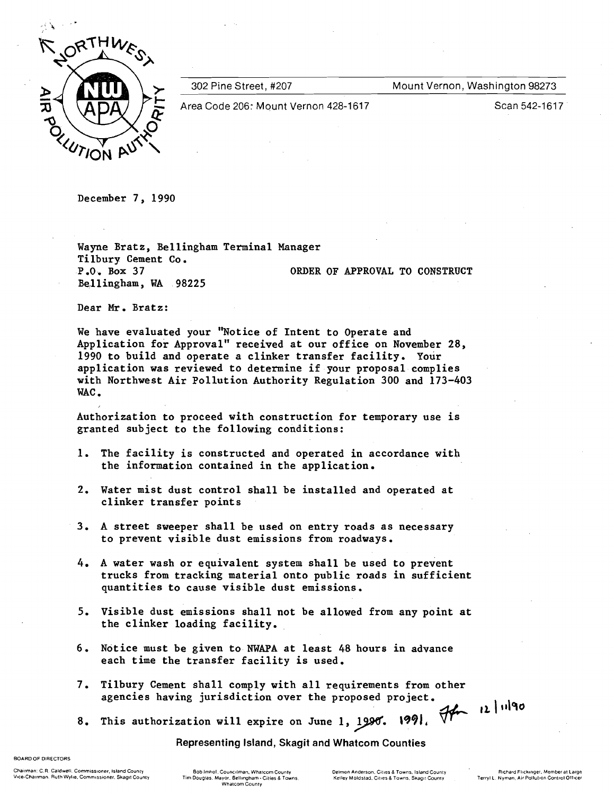

302 Pine Street, #207 Mount Vernon, Washington 98273

Area Code 206: Mount Vernon 428-1617 **Scan 542-1617** Scan 542-1617

December 7, 1990

Wayne Bratz, Bellingham Terminal Manager<br>Tilbury Cement Co.<br>P.O. Box 37 0RDER OF APPROVAL TO CONSTRUCT Bellingham, WA 98225

Dear Mr. Bratz:

We have evaluated your "Notice of Intent to Operate and Application for Approval" received at our office on November 28, 1990 to build and operate a clinker transfer facility. Your application was reviewed to determine if your proposal complies with Northwest Air Pollution Authority Regulation 300 and 173-403 WAC.

Authorization to proceed with construction for temporary use is granted subject to the following conditions:

- 1. The facility is constructed and operated in accordance with the information contained in the application.
- 2. Water mist dust control shall be installed and operated at clinker transfer points
- 3. A street sweeper shall be used on entry roads as necessary to prevent visible dust emissions from roadways.
- 4. A water wash or equivalent system shall be used to prevent trucks from tracking material onto public roads in sufficient quantities to cause visible dust emissions.
- 5. Visible dust emissions shall not be allowed from any point at the clinker loading facility.
- 6. Notice must be given to NWAPA at least 48 hours in advance each time the transfer facility is used.
- 7. Tilbury Cement shall comply with all requirements from other agencies having jurisdiction over the proposed project. agencies having jurisdiction over the proposed project.<br>8. This authorization will expire on June 1, 1990. 1991,
- 

Representing Island, Skagit and Whatcom Counties

**BOARDOF DIRECTORS** 

ender Chairman: C.R. Caldwell, Commissioner, Island County Bob Imhol, Councilman, Whatcom County Delmon Anderson. Cities & Towns, Island County Pichard Flickinger, Member at Large at Large at Large Bob Imhol. Councrlman, W

**WhalCOmCounly** 

Kelley Moldstad, Cities & Towns, Skagit County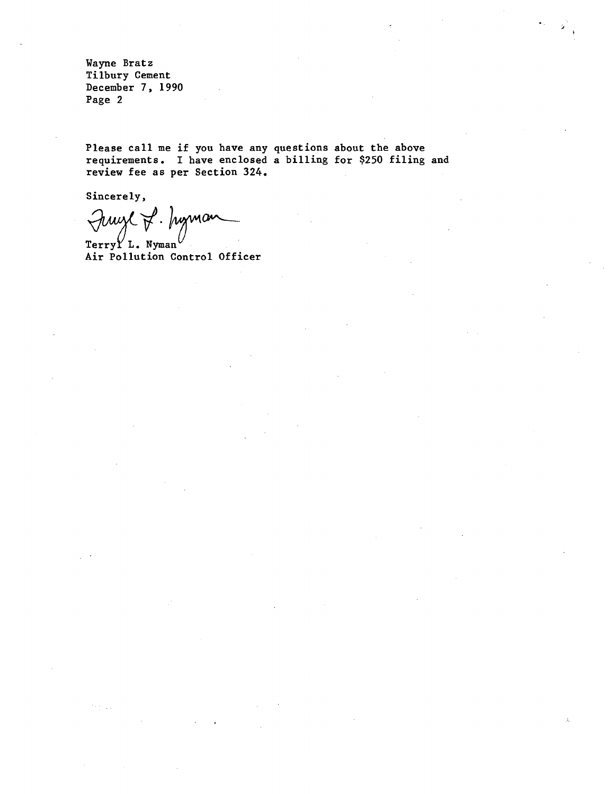**Wayne Bratz Tilbury Cement December 7, 1990 Page 2** 

**Please call me if you have any questions about the above requirements. I have enclosed a billing for \$250 filing and review fee as per Section 324.** 

**Sincerely,** 

 $\epsilon_{\rm{max}}$ 

Fruge P. Jugman

Terry<sup>Y</sup> L. Nyman **Air Pollution Control Officer**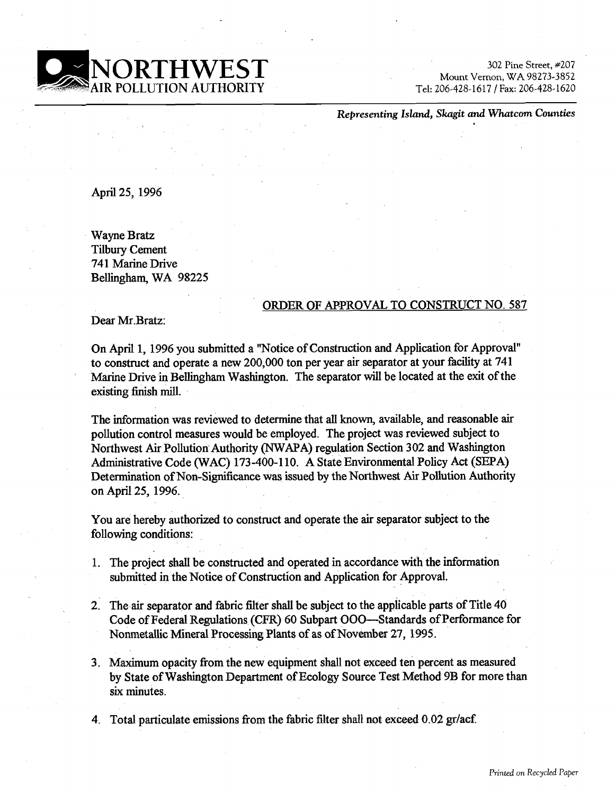

Mount Vernon, WA 98273-3852 AUTHORITY Tel: 206-428-161 7 1 **Fax:** 206-428- 1620

**Representing Island, Skagit and Whatcorn Counties** 

April **25, 1996** 

Wayne Bratz Tilbury Cement 741 Marine Drive Belliigham, WA **98225** 

#### ORDER OF APPROVAL TO CONSTRUCT NO. **587**

Dear Mr.Bratz:

On April **1, 1996** you submitted a "Notice of Construction and Application for Approval" to construct and operate a new **200,000** ton per year air separator at your facility at **741**  Marine Drive **in** BeHingharn Washington. The separator will be located at the exit of the existing finish mill.

The information was reviewed to determine that all known, available, and reasonable air pollution control measures would be employed. The project was reviewed subject to Northwest Air Pollution Authority (NWAPA) regulation Section **302** and Washington Administrative Code (WAC) **173-400-1 10.** A State Environmental Policy Act (SEPA) Determination of Non-Significance was issued by the Northwest Air Pollution Authority on April **25, 1996.** 

You are hereby authorized to construct and operate the air separator subject to the following conditions:

- **1.** The project shall be constructed and operated in accordance with the information submitted in the Notice of Construction and Application for Approval.
- 2. The air separator and fabric filter shall be subject to the applicable parts of Title **40**  Code of Federal Regulations (CFR) **60** Subpart 000--Standards of Performance for Nonmetallic Mineral Processing Plants of as of November **27, 1995.**
- **3.** Maximum opacity fiom the new equipment shall not exceed ten percent as measured by State of Washington Department of Ecology Source Test Method **9B** for more than **six** minutes.

4. Total particulate emissions from the fabric filter shall not exceed 0.02 gr/acf.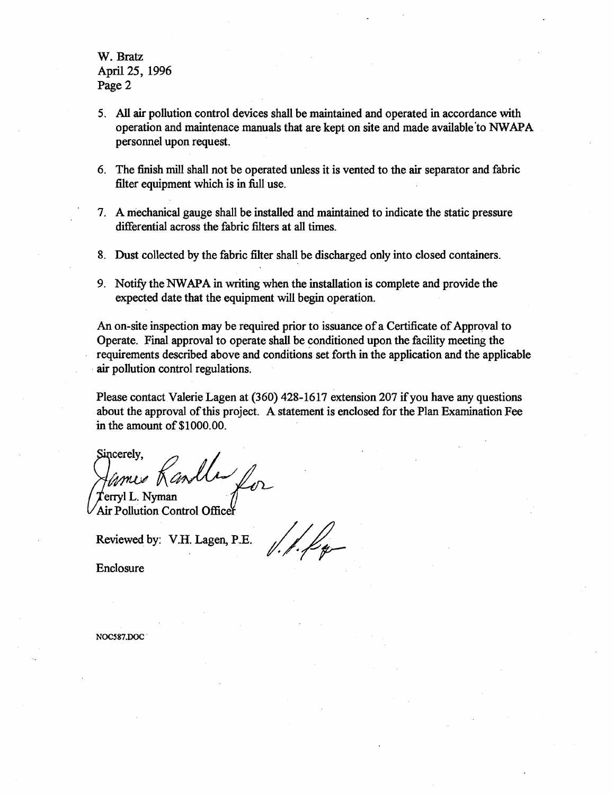## W. **Bratz**  April 25, 1996 Page 2

- 5. **All air** pollution control devices shall be maintained and operated in accordance with operation and maintenace manuals that are kept on site and made available to NWAPA personnel upon request.
- **6.** The finish **mill** shall not be operated unless it is vented to the **air** separator and fabric filter equipment which is in full use.
- **7.** A mechanical gauge shall be installed and maintained to indicate the static pressure differential across the fabric filters at all times.
- **8.** Dust collected by the fabric filter shall be discharged only into closed containers.
- 9. Notify the NWAPA in writing when the installation is complete and provide the expected date that the equipment will begin operation.

An on-site inspection may be required prior to issuance of a Certificate of Approval to Operate. Final approval to operate shall be conditioned upon the facility meeting the requirements described above and conditions set forth in the application and the applicable **air** pollution control regulations.

Please contact Valerie Lagen at **(360) 428-1617** extension **207 if** you have any questions about the approval of this project. A statement is enclosed for the Plan Examination Fee in the amount of **\$1000.00.** 

Sincerely, erryl L. Nyrnan Air Pollution Control Office

Reviewed by: V.H. Lagen, P.E.

Enclosure

NOC587,DOC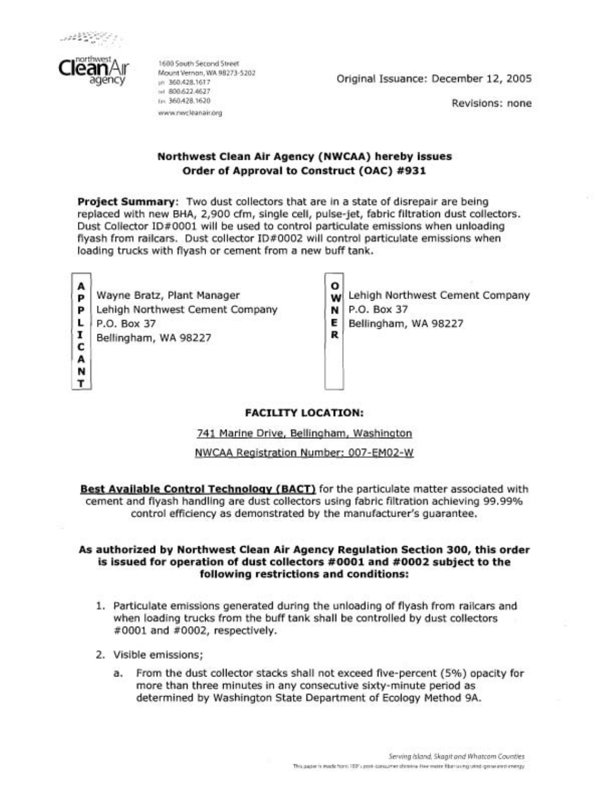



1600 South Second Street<br>Mount Vernon, WA 98273-5202<br>~~ 360.428.1617 (n. 360.428.1620) www.nwcleanair.org

 $\frac{1}{2}$  and 360.428.1617 362.1813.161 7 Original Issuance: December 12, 2005

Revisions: none

## **Northwest Clean Air Agency (NWCAA) hereby issues Order of Approval to Construct (OAC) #931**

**Project Summary:** Two dust collectors that are in a state of disrepair are being replaced with new BHA, 2,900 cfm, single cell, pulse-jet, fabric filtration dust collectors. Dust Collector ID#0001 will be used to control particulate emissions when unloading flyash from railcars. Dust collector ID#0002 will control particulate emissions when loading trucks with flyash or cement from a new buff tank.

A A N

T

 $\mathbf{p}$  Wayne Bratz, Plant Manager<br> $\mathbf{p}$  Lehigh Northwest Cement Co **P**<br> **L**<br>
P.O. Box 37<br> **E** Bellingham, WA 98227<br> **C**  **0 w** Lehigh Northwest Cement Company

**N**  P.O. Box 37

**E R**  Bellingham, WA 98227

# **FACILITY LOCATION:**

741 Marine Drive, Bellinqham, Washinqton

NWCAA Reqistration Number: 007-EM02-W

**Best Available Control Technology (BACT)** for the particulate matter associated with cement and flyash handling are dust collectors using fabric filtration achieving 99.99% control efficiency as demonstrated by the manufacturer's guarantee.

#### **As authorized by Northwest Clean Air Agency Regulation Section 300, this order is issued for operation of dust collectors #0001 and #0002 subject to the following restrictions and conditions:**

- 1. Particulate emissions generated during the unloading of flyash from railcars and when loading trucks from the buff tank shall be controlled by dust collectors #0001 and #0002, respectively.
- 2. Visible emissions;
	- a. From the dust collector stacks shall not exceed five-percent (5%) opacity for more than three minutes in any consecutive sixty-minute period as determined by Washington State Department of Ecology Method 9A.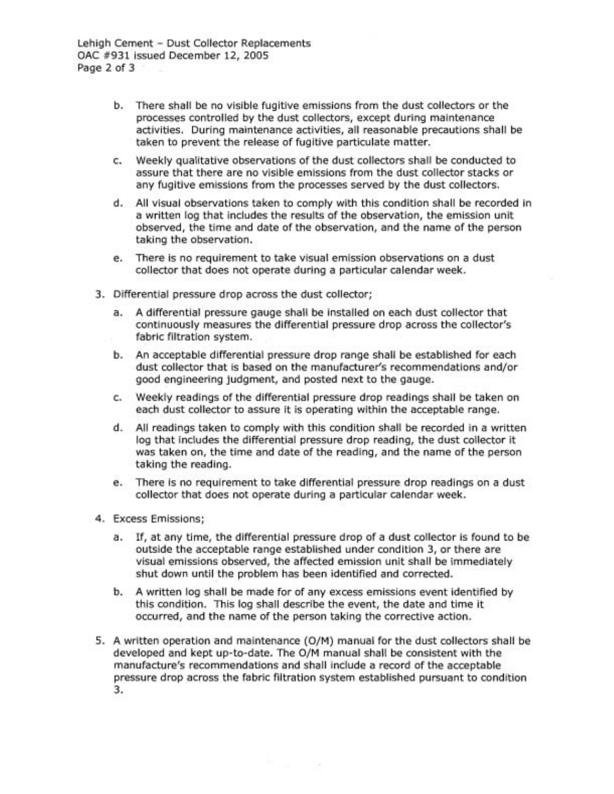Lehigh Cement - Dust Collector Replacements OAC #931 issued December 12, 2005 Page 2 of 3

- b. There shall be no visible fugitive emissions from the dust collectors or the processes controlled by the dust collectors, except during maintenance activities. During maintenance activities, all reasonable precautions shall be taken to prevent the release of fugitive particulate matter.
- c. Weekly qualitative observations of the dust collectors shall be conducted to assure that there are no visible emissions from the dust collector stacks or any fugitive emissions from the processes served by the dust collectors.
- d. All visual observations taken to comply with this condition shall be recorded in a written log that includes the results of the observation, the emission unit observed, the time and date of the observation, and the name of the person taking the observation.
- e. There is no requirement to take visual emission observations on a dust collector that does not operate during a particular calendar week.
- 3. Differential pressure drop across the dust collector;
	- a. A differential pressure gauge shall be installed on each dust collector that continuously measures the differential pressure drop across the collector's fabric filtration system.
	- b. An acceptable differential pressure drop range shall be established for each dust collector that is based on the manufacturer's recommendations and/or good engineering judgment, and posted next to the gauge.
	- c. Weekly readings of the differential pressure drop readings shall be taken on each dust collector to assure it is operating within the acceptable range.
	- d. All readings taken to comply with this condition shall be recorded in a written log that includes the differential pressure drop reading, the dust collector it was taken on, the time and date of the reading, and the name of the person taking the reading.
	- e. There is no requirement to take differential pressure drop readings on a dust collector that does not operate during a particular calendar week.
- 4. Excess Emissions;
	- a. If, at any time, the differential pressure drop of a dust collector is found to be outside the acceptable range established under condition 3, or there are visual emissions observed, the affected emission unit shall be immediately shut down until the problem has been identified and corrected.
	- b. A written log shall be made for of any excess emissions event identified by this condition. This log shall describe the event, the date and time it occurred, and the name of the person taking the corrective action.
- 5. A written operation and maintenance (O/M) manual for the dust collectors shall be developed and kept up-to-date. The O/M manual shall be consistent with the manufacture's recommendations and shall include a record of the acceptable pressure drop across the fabric filtration system established pursuant to condition 3.

in a s